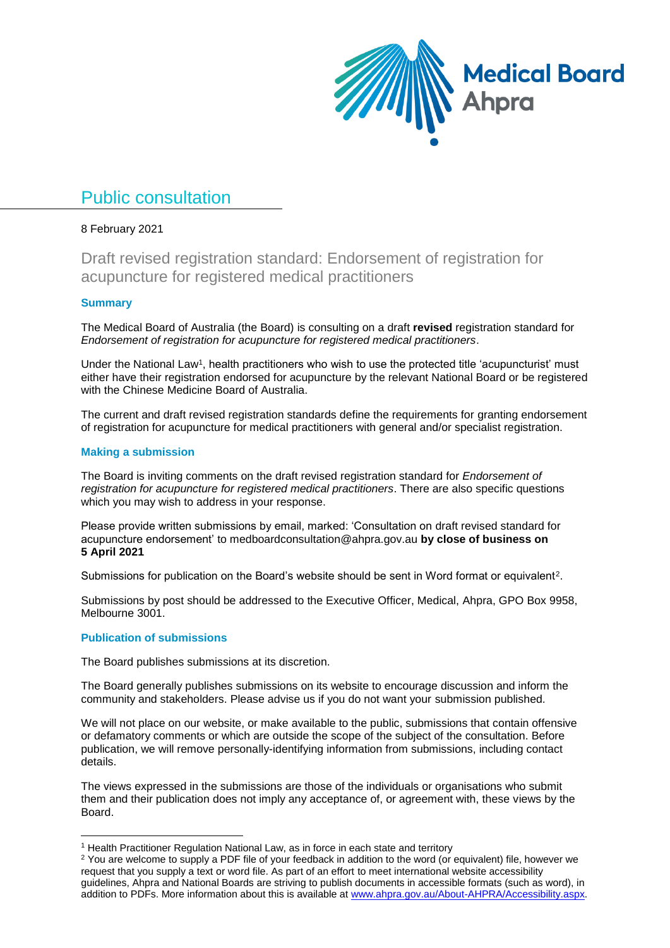

# Public consultation

### 8 February 2021

Draft revised registration standard: Endorsement of registration for acupuncture for registered medical practitioners

### **Summary**

The Medical Board of Australia (the Board) is consulting on a draft **revised** registration standard for *Endorsement of registration for acupuncture for registered medical practitioners*.

Under the National Law<sup>1</sup>, health practitioners who wish to use the protected title 'acupuncturist' must either have their registration endorsed for acupuncture by the relevant National Board or be registered with the Chinese Medicine Board of Australia.

The current and draft revised registration standards define the requirements for granting endorsement of registration for acupuncture for medical practitioners with general and/or specialist registration.

### **Making a submission**

The Board is inviting comments on the draft revised registration standard for *Endorsement of registration for acupuncture for registered medical practitioners*. There are also specific questions which you may wish to address in your response.

Please provide written submissions by email, marked: 'Consultation on draft revised standard for acupuncture endorsement' to medboardconsultation@ahpra.gov.au **by close of business on 5 April 2021**

Submissions for publication on the Board's website should be sent in Word format or equivalent<sup>2</sup>.

Submissions by post should be addressed to the Executive Officer, Medical, Ahpra, GPO Box 9958, Melbourne 3001.

### **Publication of submissions**

1

The Board publishes submissions at its discretion.

The Board generally publishes submissions on its website to encourage discussion and inform the community and stakeholders. Please advise us if you do not want your submission published.

We will not place on our website, or make available to the public, submissions that contain offensive or defamatory comments or which are outside the scope of the subject of the consultation. Before publication, we will remove personally-identifying information from submissions, including contact details.

The views expressed in the submissions are those of the individuals or organisations who submit them and their publication does not imply any acceptance of, or agreement with, these views by the Board.

<sup>&</sup>lt;sup>1</sup> Health Practitioner Regulation National Law, as in force in each state and territory

<sup>&</sup>lt;sup>2</sup> You are welcome to supply a PDF file of your feedback in addition to the word (or equivalent) file, however we request that you supply a text or word file. As part of an effort to meet international website accessibility guidelines, Ahpra and National Boards are striving to publish documents in accessible formats (such as word), in addition to PDFs. More information about this is available at [www.ahpra.gov.au/About-AHPRA/Accessibility.aspx.](http://www.ahpra.gov.au/About-AHPRA/Accessibility.aspx)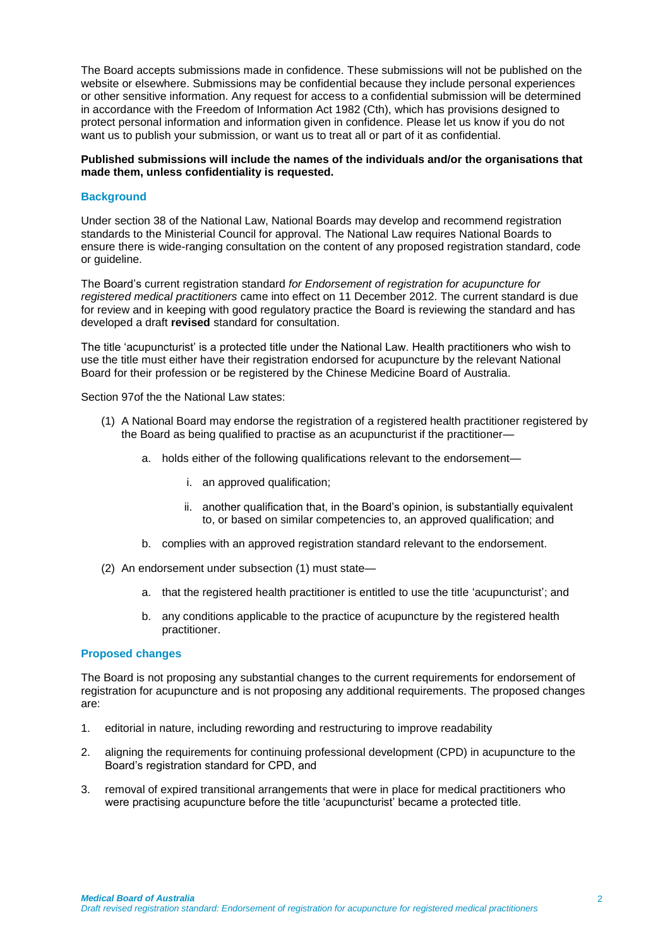The Board accepts submissions made in confidence. These submissions will not be published on the website or elsewhere. Submissions may be confidential because they include personal experiences or other sensitive information. Any request for access to a confidential submission will be determined in accordance with the Freedom of Information Act 1982 (Cth), which has provisions designed to protect personal information and information given in confidence. Please let us know if you do not want us to publish your submission, or want us to treat all or part of it as confidential.

### **Published submissions will include the names of the individuals and/or the organisations that made them, unless confidentiality is requested.**

### **Background**

Under section 38 of the National Law, National Boards may develop and recommend registration standards to the Ministerial Council for approval. The National Law requires National Boards to ensure there is wide-ranging consultation on the content of any proposed registration standard, code or guideline.

The Board's current registration standard *for Endorsement of registration for acupuncture for registered medical practitioners* came into effect on 11 December 2012. The current standard is due for review and in keeping with good regulatory practice the Board is reviewing the standard and has developed a draft **revised** standard for consultation.

The title 'acupuncturist' is a protected title under the National Law. Health practitioners who wish to use the title must either have their registration endorsed for acupuncture by the relevant National Board for their profession or be registered by the Chinese Medicine Board of Australia.

Section 97of the the National Law states:

- (1) A National Board may endorse the registration of a registered health practitioner registered by the Board as being qualified to practise as an acupuncturist if the practitioner
	- a. holds either of the following qualifications relevant to the endorsement
		- i. an approved qualification;
		- ii. another qualification that, in the Board's opinion, is substantially equivalent to, or based on similar competencies to, an approved qualification; and
	- b. complies with an approved registration standard relevant to the endorsement.
- (2) An endorsement under subsection (1) must state
	- a. that the registered health practitioner is entitled to use the title 'acupuncturist'; and
	- b. any conditions applicable to the practice of acupuncture by the registered health practitioner.

### **Proposed changes**

The Board is not proposing any substantial changes to the current requirements for endorsement of registration for acupuncture and is not proposing any additional requirements. The proposed changes are:

- 1. editorial in nature, including rewording and restructuring to improve readability
- 2. aligning the requirements for continuing professional development (CPD) in acupuncture to the Board's registration standard for CPD, and
- 3. removal of expired transitional arrangements that were in place for medical practitioners who were practising acupuncture before the title 'acupuncturist' became a protected title.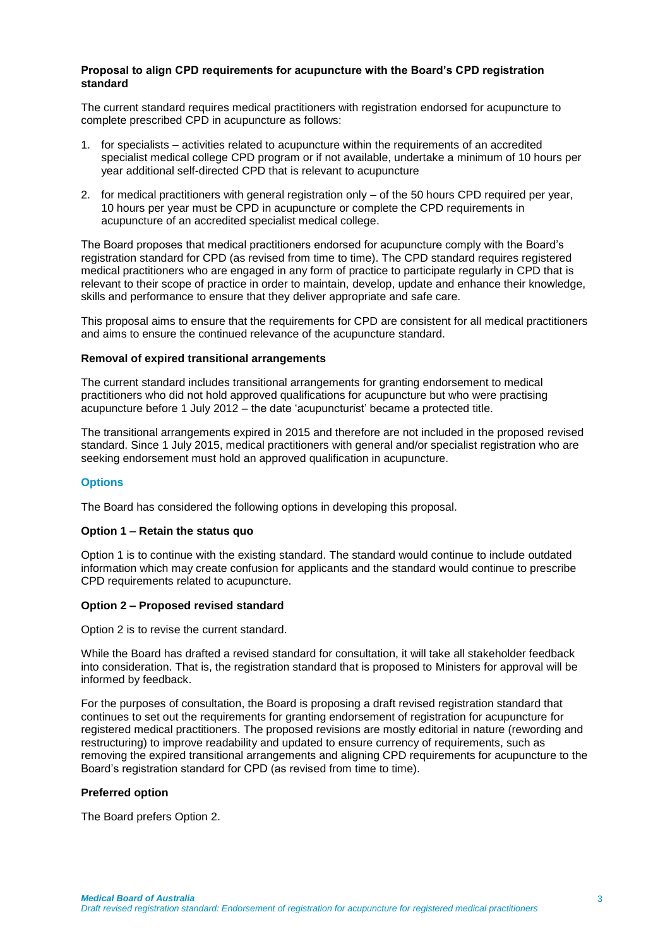### **Proposal to align CPD requirements for acupuncture with the Board's CPD registration standard**

The current standard requires medical practitioners with registration endorsed for acupuncture to complete prescribed CPD in acupuncture as follows:

- 1. for specialists activities related to acupuncture within the requirements of an accredited specialist medical college CPD program or if not available, undertake a minimum of 10 hours per year additional self-directed CPD that is relevant to acupuncture
- 2. for medical practitioners with general registration only of the 50 hours CPD required per year, 10 hours per year must be CPD in acupuncture or complete the CPD requirements in acupuncture of an accredited specialist medical college.

The Board proposes that medical practitioners endorsed for acupuncture comply with the Board's registration standard for CPD (as revised from time to time). The CPD standard requires registered medical practitioners who are engaged in any form of practice to participate regularly in CPD that is relevant to their scope of practice in order to maintain, develop, update and enhance their knowledge, skills and performance to ensure that they deliver appropriate and safe care.

This proposal aims to ensure that the requirements for CPD are consistent for all medical practitioners and aims to ensure the continued relevance of the acupuncture standard.

### **Removal of expired transitional arrangements**

The current standard includes transitional arrangements for granting endorsement to medical practitioners who did not hold approved qualifications for acupuncture but who were practising acupuncture before 1 July 2012 – the date 'acupuncturist' became a protected title.

The transitional arrangements expired in 2015 and therefore are not included in the proposed revised standard. Since 1 July 2015, medical practitioners with general and/or specialist registration who are seeking endorsement must hold an approved qualification in acupuncture.

### **Options**

The Board has considered the following options in developing this proposal.

### **Option 1 – Retain the status quo**

Option 1 is to continue with the existing standard. The standard would continue to include outdated information which may create confusion for applicants and the standard would continue to prescribe CPD requirements related to acupuncture.

### **Option 2 – Proposed revised standard**

Option 2 is to revise the current standard.

While the Board has drafted a revised standard for consultation, it will take all stakeholder feedback into consideration. That is, the registration standard that is proposed to Ministers for approval will be informed by feedback.

For the purposes of consultation, the Board is proposing a draft revised registration standard that continues to set out the requirements for granting endorsement of registration for acupuncture for registered medical practitioners. The proposed revisions are mostly editorial in nature (rewording and restructuring) to improve readability and updated to ensure currency of requirements, such as removing the expired transitional arrangements and aligning CPD requirements for acupuncture to the Board's registration standard for CPD (as revised from time to time).

### **Preferred option**

The Board prefers Option 2.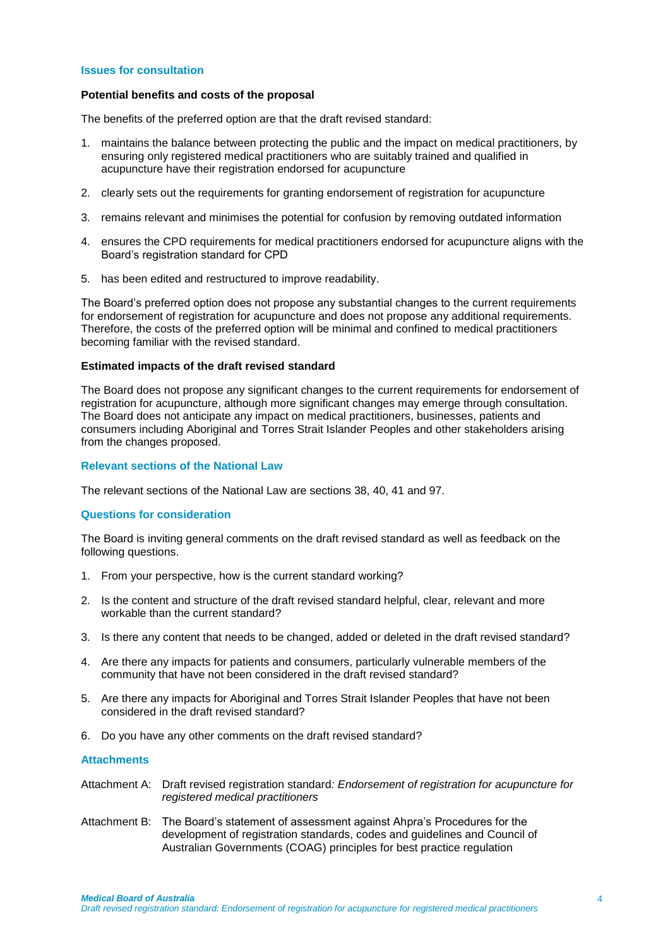#### **Issues for consultation**

#### **Potential benefits and costs of the proposal**

The benefits of the preferred option are that the draft revised standard:

- 1. maintains the balance between protecting the public and the impact on medical practitioners, by ensuring only registered medical practitioners who are suitably trained and qualified in acupuncture have their registration endorsed for acupuncture
- 2. clearly sets out the requirements for granting endorsement of registration for acupuncture
- 3. remains relevant and minimises the potential for confusion by removing outdated information
- 4. ensures the CPD requirements for medical practitioners endorsed for acupuncture aligns with the Board's registration standard for CPD
- 5. has been edited and restructured to improve readability.

The Board's preferred option does not propose any substantial changes to the current requirements for endorsement of registration for acupuncture and does not propose any additional requirements. Therefore, the costs of the preferred option will be minimal and confined to medical practitioners becoming familiar with the revised standard.

#### **Estimated impacts of the draft revised standard**

The Board does not propose any significant changes to the current requirements for endorsement of registration for acupuncture, although more significant changes may emerge through consultation. The Board does not anticipate any impact on medical practitioners, businesses, patients and consumers including Aboriginal and Torres Strait Islander Peoples and other stakeholders arising from the changes proposed.

### **Relevant sections of the National Law**

The relevant sections of the National Law are sections 38, 40, 41 and 97.

#### **Questions for consideration**

The Board is inviting general comments on the draft revised standard as well as feedback on the following questions.

- 1. From your perspective, how is the current standard working?
- 2. Is the content and structure of the draft revised standard helpful, clear, relevant and more workable than the current standard?
- 3. Is there any content that needs to be changed, added or deleted in the draft revised standard?
- 4. Are there any impacts for patients and consumers, particularly vulnerable members of the community that have not been considered in the draft revised standard?
- 5. Are there any impacts for Aboriginal and Torres Strait Islander Peoples that have not been considered in the draft revised standard?
- 6. Do you have any other comments on the draft revised standard?

### **Attachments**

- Attachment A: Draft revised registration standard*: Endorsement of registration for acupuncture for registered medical practitioners*
- Attachment B: The Board's statement of assessment against Ahpra's Procedures for the development of registration standards, codes and guidelines and Council of Australian Governments (COAG) principles for best practice regulation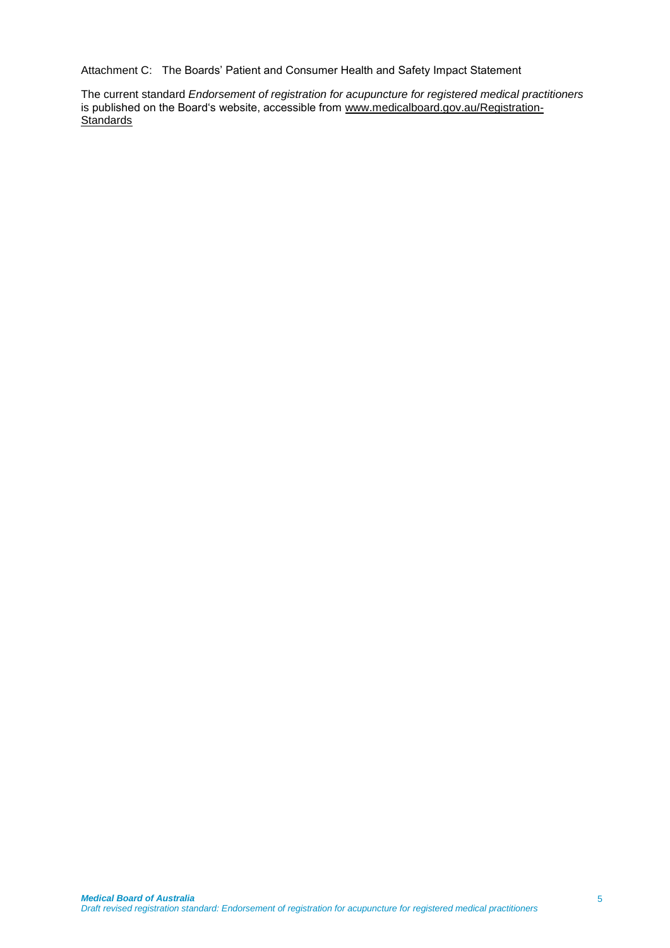Attachment C: The Boards' Patient and Consumer Health and Safety Impact Statement

The current standard *Endorsement of registration for acupuncture for registered medical practitioners* is published on the Board's website, accessible from [www.medicalboard.gov.au/Registration-](http://www.medicalboard.gov.au/Registration-Standards.aspx)**[Standards](http://www.medicalboard.gov.au/Registration-Standards.aspx)**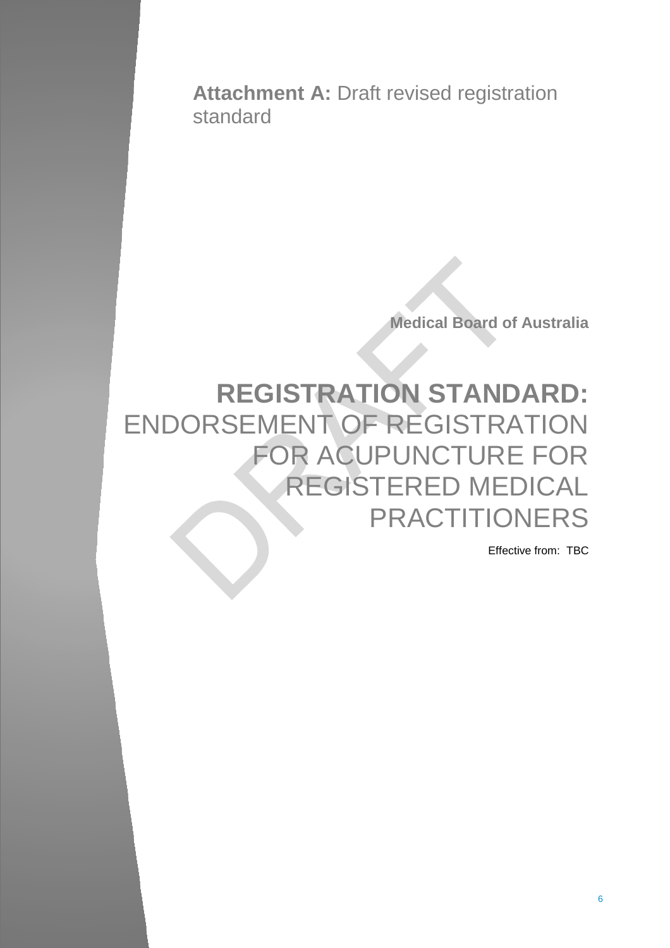**Attachment A:** Draft revised registration standard

**Medical Board of Australia** 

# **REGISTRATION STANDARD:**  ENDORSEMENT OF REGISTRATION FOR ACUPUNCTURE FOR REGISTERED MEDICAL PRACTITIONERS

Effective from: TBC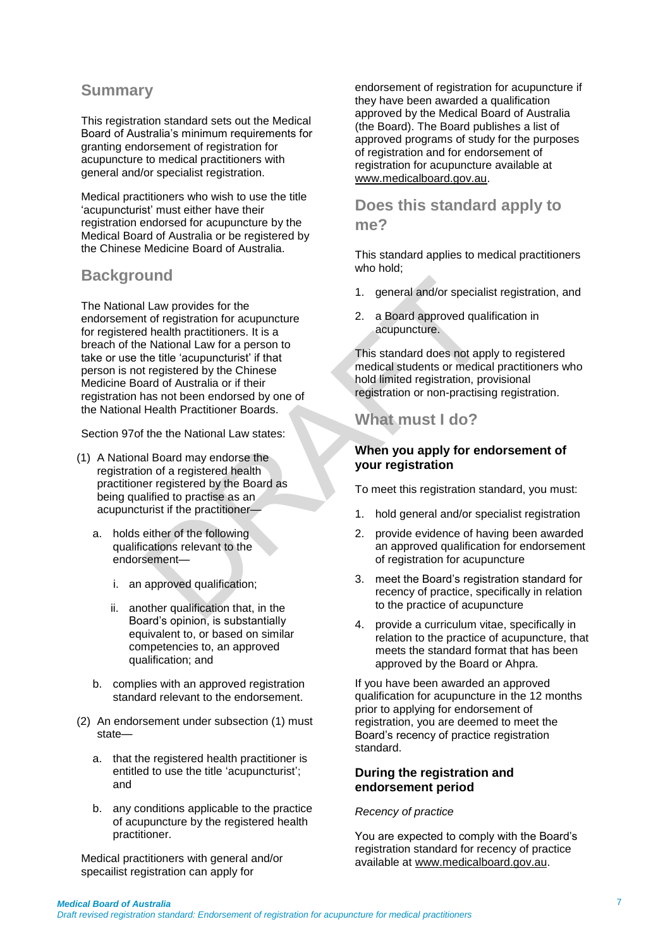### **Summary**

This registration standard sets out the Medical Board of Australia's minimum requirements for granting endorsement of registration for acupuncture to medical practitioners with general and/or specialist registration.

Medical practitioners who wish to use the title 'acupuncturist' must either have their registration endorsed for acupuncture by the Medical Board of Australia or be registered by the Chinese Medicine Board of Australia.

### **Background**

The National Law provides for the endorsement of registration for acupuncture for registered health practitioners. It is a breach of the National Law for a person to take or use the title 'acupuncturist' if that person is not registered by the Chinese Medicine Board of Australia or if their registration has not been endorsed by one of the National Health Practitioner Boards.

Section 97of the the National Law states:

- (1) A National Board may endorse the registration of a registered health practitioner registered by the Board as being qualified to practise as an acupuncturist if the practitioner
	- a. holds either of the following qualifications relevant to the endorsement
		- i. an approved qualification;
		- ii. another qualification that, in the Board's opinion, is substantially equivalent to, or based on similar competencies to, an approved qualification; and
	- b. complies with an approved registration standard relevant to the endorsement.
- (2) An endorsement under subsection (1) must state
	- a. that the registered health practitioner is entitled to use the title 'acupuncturist'; and
	- b. any conditions applicable to the practice of acupuncture by the registered health practitioner.

Medical practitioners with general and/or specailist registration can apply for

endorsement of registration for acupuncture if they have been awarded a qualification approved by the Medical Board of Australia (the Board). The Board publishes a list of approved programs of study for the purposes of registration and for endorsement of registration for acupuncture available at [www.medicalboard.gov.au.](http://www.medicalboard.gov.au/)

### **Does this standard apply to me?**

This standard applies to medical practitioners who hold;

- 1. general and/or specialist registration, and
- 2. a Board approved qualification in acupuncture.

This standard does not apply to registered medical students or medical practitioners who hold limited registration, provisional registration or non-practising registration.

### **What must I do?**

### **When you apply for endorsement of your registration**

To meet this registration standard, you must:

- 1. hold general and/or specialist registration
- 2. provide evidence of having been awarded an approved qualification for endorsement of registration for acupuncture
- 3. meet the Board's registration standard for recency of practice, specifically in relation to the practice of acupuncture
- 4. provide a curriculum vitae, specifically in relation to the practice of acupuncture, that meets the standard format that has been approved by the Board or Ahpra.

If you have been awarded an approved qualification for acupuncture in the 12 months prior to applying for endorsement of registration, you are deemed to meet the Board's recency of practice registration standard.

### **During the registration and endorsement period**

### *Recency of practice*

You are expected to comply with the Board's registration standard for recency of practice available at [www.medicalboard.gov.au.](http://www.medicalboard.gov.au/)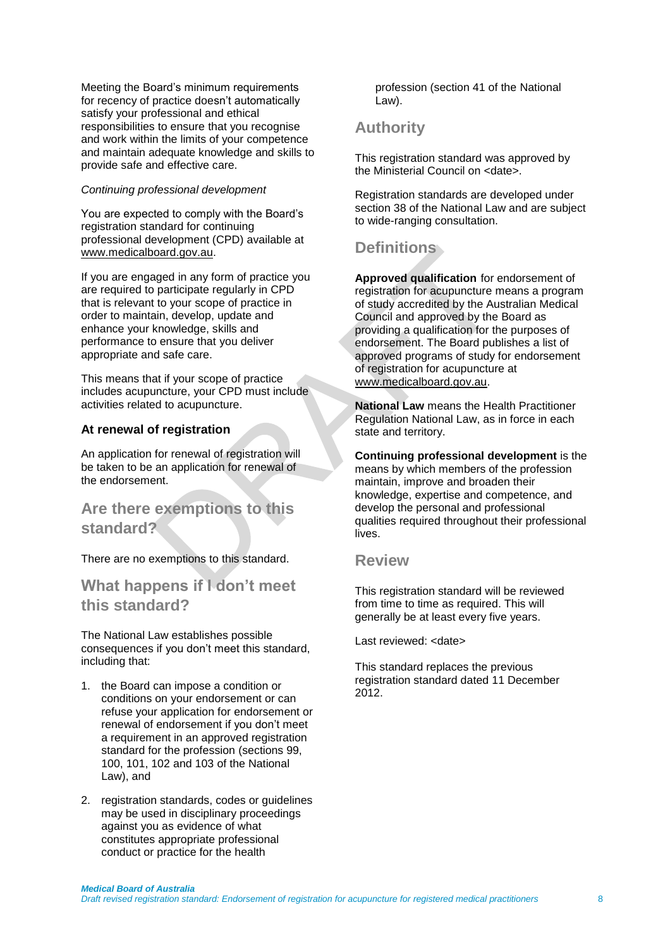Meeting the Board's minimum requirements for recency of practice doesn't automatically satisfy your professional and ethical responsibilities to ensure that you recognise and work within the limits of your competence and maintain adequate knowledge and skills to provide safe and effective care.

### *Continuing professional development*

You are expected to comply with the Board's registration standard for continuing professional development (CPD) available at [www.medicalboard.gov.au.](http://www.medicalboard.gov.au/)

If you are engaged in any form of practice you are required to participate regularly in CPD that is relevant to your scope of practice in order to maintain, develop, update and enhance your knowledge, skills and performance to ensure that you deliver appropriate and safe care.

This means that if your scope of practice includes acupuncture, your CPD must include activities related to acupuncture.

### **At renewal of registration**

An application for renewal of registration will be taken to be an application for renewal of the endorsement.

### **Are there exemptions to this standard?**

There are no exemptions to this standard.

### **What happens if I don't meet this standard?**

The National Law establishes possible consequences if you don't meet this standard, including that:

- 1. the Board can impose a condition or conditions on your endorsement or can refuse your application for endorsement or renewal of endorsement if you don't meet a requirement in an approved registration standard for the profession (sections 99, 100, 101, 102 and 103 of the National Law), and
- 2. registration standards, codes or guidelines may be used in disciplinary proceedings against you as evidence of what constitutes appropriate professional conduct or practice for the health

profession (section 41 of the National Law).

### **Authority**

This registration standard was approved by the Ministerial Council on <date>.

Registration standards are developed under section 38 of the National Law and are subject to wide-ranging consultation.

### **Definitions**

**Approved qualification** for endorsement of registration for acupuncture means a program of study accredited by the Australian Medical Council and approved by the Board as providing a qualification for the purposes of endorsement. The Board publishes a list of approved programs of study for endorsement of registration for acupuncture at [www.medicalboard.gov.au.](http://www.medicalboard.gov.au/)

**National Law** means the Health Practitioner Regulation National Law, as in force in each state and territory.

**Continuing professional development** is the means by which members of the profession maintain, improve and broaden their knowledge, expertise and competence, and develop the personal and professional qualities required throughout their professional lives.

### **Review**

This registration standard will be reviewed from time to time as required. This will generally be at least every five years.

Last reviewed: <date>

This standard replaces the previous registration standard dated 11 December 2012.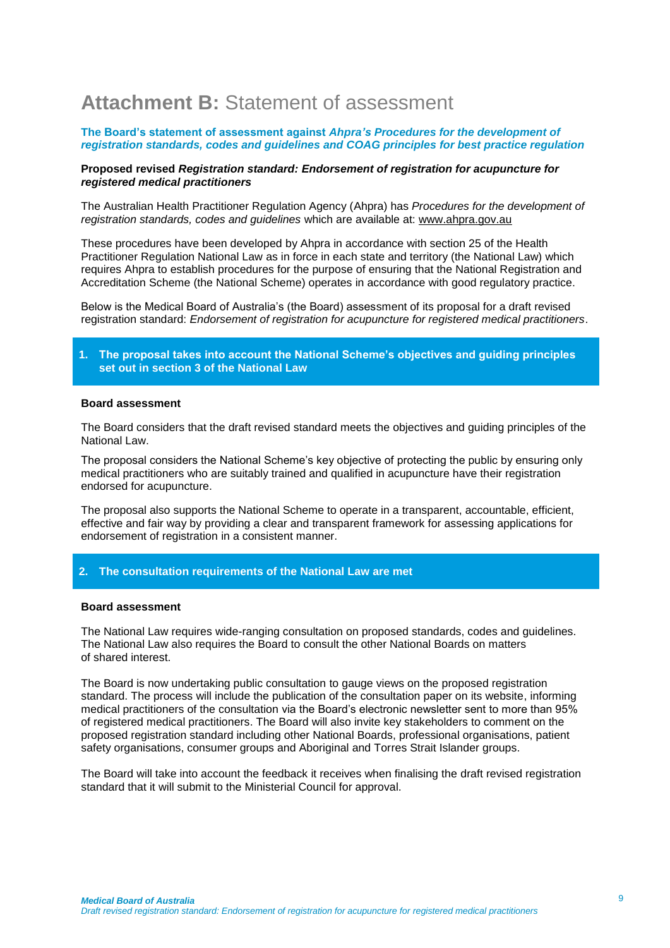# **Attachment B:** Statement of assessment

### **The Board's statement of assessment against** *Ahpra's Procedures for the development of registration standards, codes and guidelines and COAG principles for best practice regulation*

### **Proposed revised** *Registration standard: Endorsement of registration for acupuncture for registered medical practitioners*

The Australian Health Practitioner Regulation Agency (Ahpra) has *Procedures for the development of registration standards, codes and guidelines* which are available at: [www.ahpra.gov.au](http://www.ahpra.gov.au/)

These procedures have been developed by Ahpra in accordance with section 25 of the Health Practitioner Regulation National Law as in force in each state and territory (the National Law) which requires Ahpra to establish procedures for the purpose of ensuring that the National Registration and Accreditation Scheme (the National Scheme) operates in accordance with good regulatory practice.

Below is the Medical Board of Australia's (the Board) assessment of its proposal for a draft revised registration standard: *Endorsement of registration for acupuncture for registered medical practitioners*.

### **1. The proposal takes into account the National Scheme's objectives and guiding principles set out in section 3 of the National Law**

### **Board assessment**

The Board considers that the draft revised standard meets the objectives and guiding principles of the National Law.

The proposal considers the National Scheme's key objective of protecting the public by ensuring only medical practitioners who are suitably trained and qualified in acupuncture have their registration endorsed for acupuncture.

The proposal also supports the National Scheme to operate in a transparent, accountable, efficient, effective and fair way by providing a clear and transparent framework for assessing applications for endorsement of registration in a consistent manner.

### **2. The consultation requirements of the National Law are met**

#### **Board assessment**

The National Law requires wide-ranging consultation on proposed standards, codes and guidelines. The National Law also requires the Board to consult the other National Boards on matters of shared interest.

The Board is now undertaking public consultation to gauge views on the proposed registration standard. The process will include the publication of the consultation paper on its website, informing medical practitioners of the consultation via the Board's electronic newsletter sent to more than 95% of registered medical practitioners. The Board will also invite key stakeholders to comment on the proposed registration standard including other National Boards, professional organisations, patient safety organisations, consumer groups and Aboriginal and Torres Strait Islander groups.

The Board will take into account the feedback it receives when finalising the draft revised registration standard that it will submit to the Ministerial Council for approval.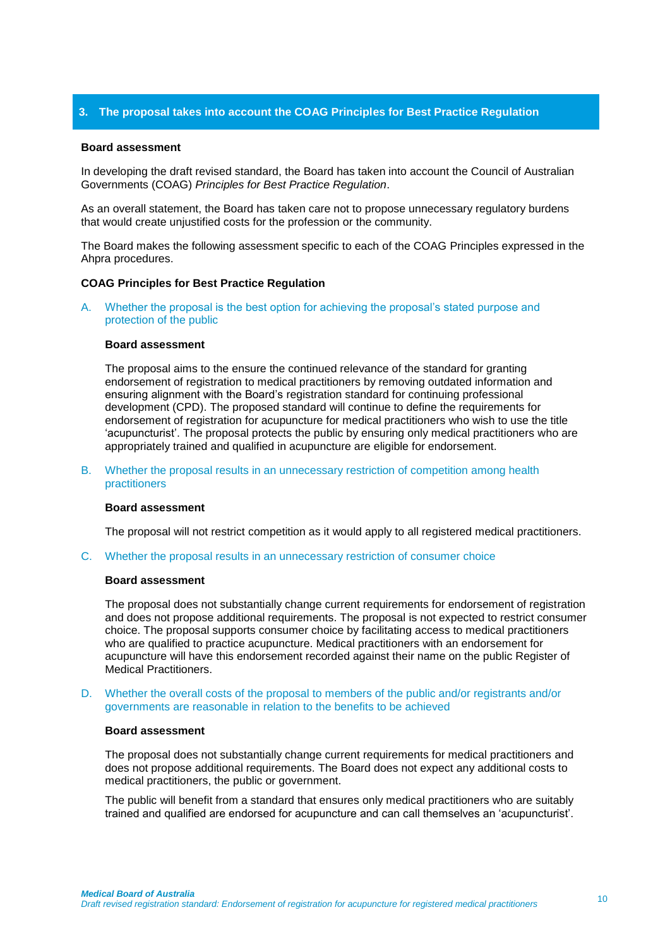### **3. The proposal takes into account the COAG Principles for Best Practice Regulation**

### **Board assessment**

In developing the draft revised standard, the Board has taken into account the Council of Australian Governments (COAG) *Principles for Best Practice Regulation*.

As an overall statement, the Board has taken care not to propose unnecessary regulatory burdens that would create unjustified costs for the profession or the community.

The Board makes the following assessment specific to each of the COAG Principles expressed in the Ahpra procedures.

#### **COAG Principles for Best Practice Regulation**

A. Whether the proposal is the best option for achieving the proposal's stated purpose and protection of the public

#### **Board assessment**

The proposal aims to the ensure the continued relevance of the standard for granting endorsement of registration to medical practitioners by removing outdated information and ensuring alignment with the Board's registration standard for continuing professional development (CPD). The proposed standard will continue to define the requirements for endorsement of registration for acupuncture for medical practitioners who wish to use the title 'acupuncturist'. The proposal protects the public by ensuring only medical practitioners who are appropriately trained and qualified in acupuncture are eligible for endorsement.

B. Whether the proposal results in an unnecessary restriction of competition among health practitioners

#### **Board assessment**

The proposal will not restrict competition as it would apply to all registered medical practitioners.

C. Whether the proposal results in an unnecessary restriction of consumer choice

#### **Board assessment**

The proposal does not substantially change current requirements for endorsement of registration and does not propose additional requirements. The proposal is not expected to restrict consumer choice. The proposal supports consumer choice by facilitating access to medical practitioners who are qualified to practice acupuncture. Medical practitioners with an endorsement for acupuncture will have this endorsement recorded against their name on the public Register of Medical Practitioners.

D. Whether the overall costs of the proposal to members of the public and/or registrants and/or governments are reasonable in relation to the benefits to be achieved

#### **Board assessment**

The proposal does not substantially change current requirements for medical practitioners and does not propose additional requirements. The Board does not expect any additional costs to medical practitioners, the public or government.

The public will benefit from a standard that ensures only medical practitioners who are suitably trained and qualified are endorsed for acupuncture and can call themselves an 'acupuncturist'.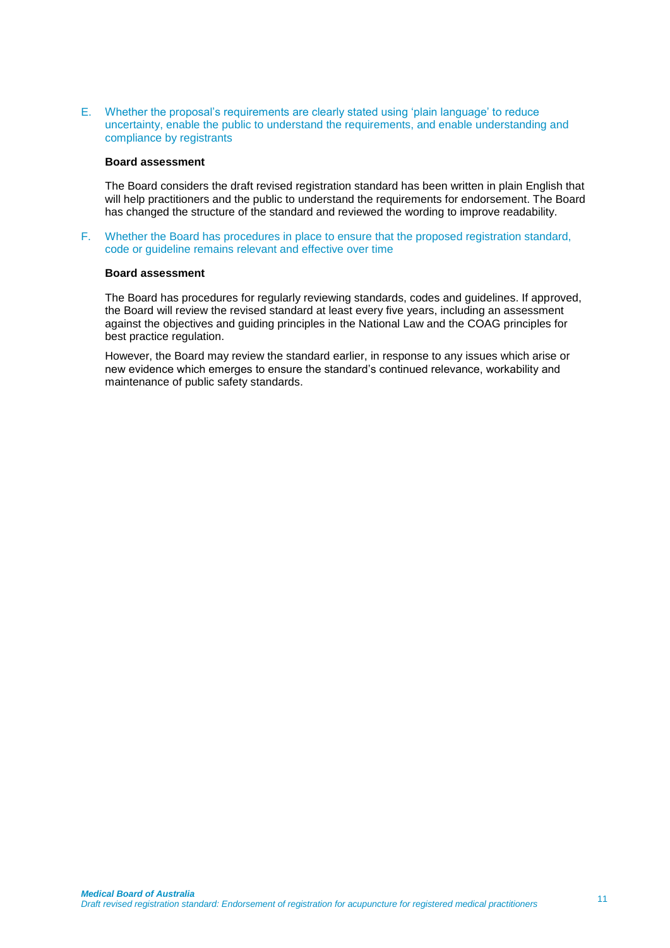E. Whether the proposal's requirements are clearly stated using 'plain language' to reduce uncertainty, enable the public to understand the requirements, and enable understanding and compliance by registrants

### **Board assessment**

The Board considers the draft revised registration standard has been written in plain English that will help practitioners and the public to understand the requirements for endorsement. The Board has changed the structure of the standard and reviewed the wording to improve readability.

F. Whether the Board has procedures in place to ensure that the proposed registration standard, code or guideline remains relevant and effective over time

### **Board assessment**

The Board has procedures for regularly reviewing standards, codes and guidelines. If approved, the Board will review the revised standard at least every five years, including an assessment against the objectives and guiding principles in the National Law and the COAG principles for best practice regulation.

However, the Board may review the standard earlier, in response to any issues which arise or new evidence which emerges to ensure the standard's continued relevance, workability and maintenance of public safety standards.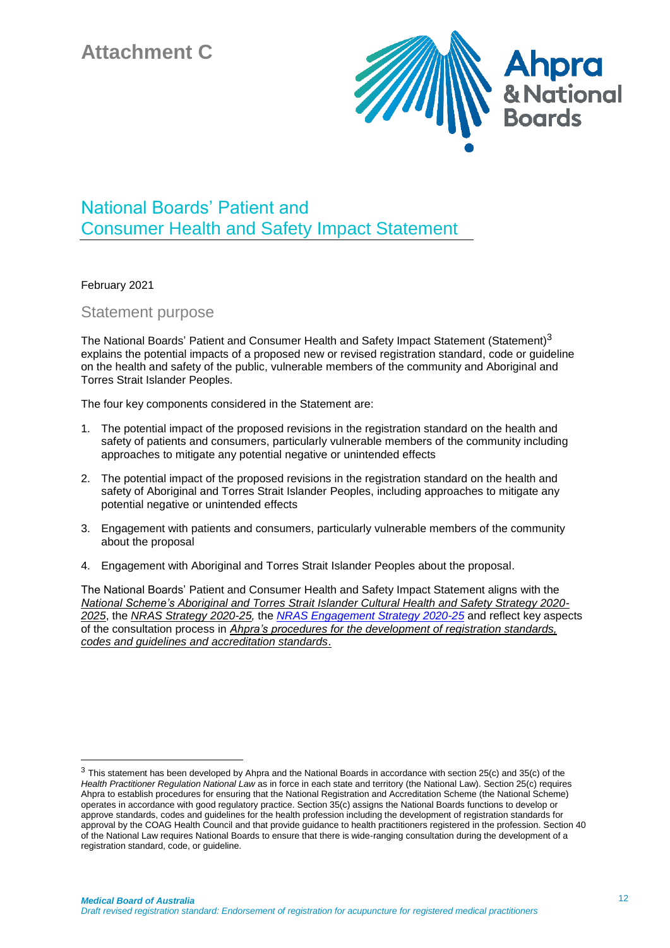

# National Boards' Patient and Consumer Health and Safety Impact Statement

February 2021

1

Statement purpose

The National Boards' Patient and Consumer Health and Safety Impact Statement (Statement)<sup>3</sup> explains the potential impacts of a proposed new or revised registration standard, code or guideline on the health and safety of the public, vulnerable members of the community and Aboriginal and Torres Strait Islander Peoples.

The four key components considered in the Statement are:

- 1. The potential impact of the proposed revisions in the registration standard on the health and safety of patients and consumers, particularly vulnerable members of the community including approaches to mitigate any potential negative or unintended effects
- 2. The potential impact of the proposed revisions in the registration standard on the health and safety of Aboriginal and Torres Strait Islander Peoples, including approaches to mitigate any potential negative or unintended effects
- 3. Engagement with patients and consumers, particularly vulnerable members of the community about the proposal
- 4. Engagement with Aboriginal and Torres Strait Islander Peoples about the proposal.

The National Boards' Patient and Consumer Health and Safety Impact Statement aligns with the *National Scheme's [Aboriginal and Torres Strait Islander Cultural Health and Safety Strategy 2020-](https://www.ahpra.gov.au/About-AHPRA/Aboriginal-and-Torres-Strait-Islander-Health-Strategy.aspx) [2025](https://www.ahpra.gov.au/About-AHPRA/Aboriginal-and-Torres-Strait-Islander-Health-Strategy.aspx)*, the *[NRAS Strategy 2020-25,](https://www.ahpra.gov.au/About-AHPRA/National-Scheme-Strategy.aspx)* the *[NRAS Engagement Strategy 2020-25](https://www.ahpra.gov.au/About-AHPRA/Our-engagement-activities/Engagement-strategy.aspx)* and reflect key aspects of the consultation process in *[Ahpra's procedures for the development of](https://www.ahpra.gov.au/Publications/Procedures.aspx) registration standards, [codes and guidelines and accreditation standards](https://www.ahpra.gov.au/Publications/Procedures.aspx)*.

<sup>&</sup>lt;sup>3</sup> This statement has been developed by Ahpra and the National Boards in accordance with section 25(c) and 35(c) of the *Health Practitioner Regulation National Law* as in force in each state and territory (the National Law). Section 25(c) requires Ahpra to establish procedures for ensuring that the National Registration and Accreditation Scheme (the National Scheme) operates in accordance with good regulatory practice. Section 35(c) assigns the National Boards functions to develop or approve standards, codes and guidelines for the health profession including the development of registration standards for approval by the COAG Health Council and that provide guidance to health practitioners registered in the profession. Section 40 of the National Law requires National Boards to ensure that there is wide-ranging consultation during the development of a registration standard, code, or guideline.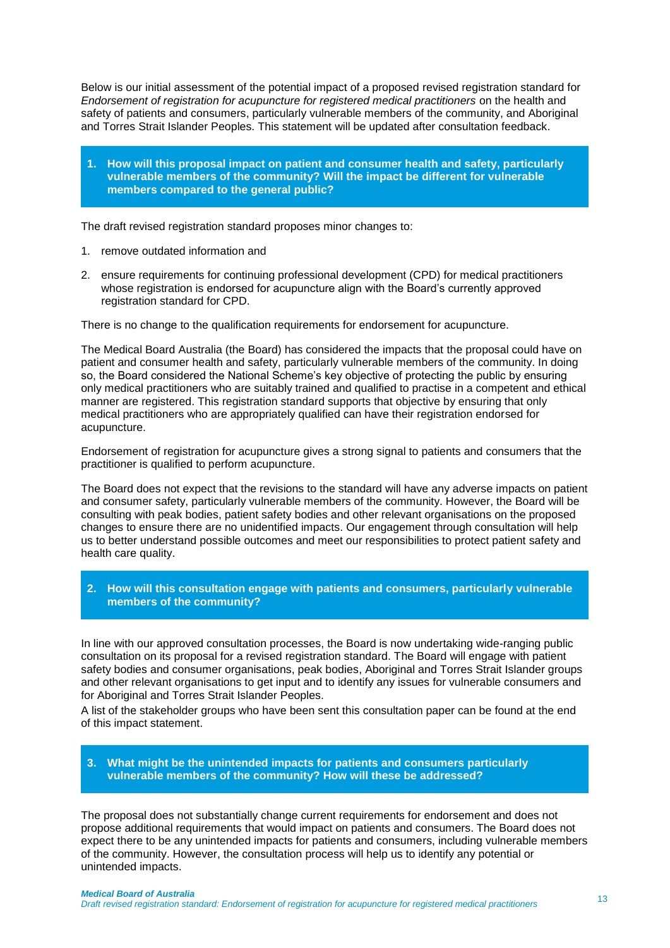Below is our initial assessment of the potential impact of a proposed revised registration standard for *Endorsement of registration for acupuncture for registered medical practitioners* on the health and safety of patients and consumers, particularly vulnerable members of the community, and Aboriginal and Torres Strait Islander Peoples. This statement will be updated after consultation feedback.

**1. How will this proposal impact on patient and consumer health and safety, particularly vulnerable members of the community? Will the impact be different for vulnerable members compared to the general public?**

The draft revised registration standard proposes minor changes to:

- 1. remove outdated information and
- 2. ensure requirements for continuing professional development (CPD) for medical practitioners whose registration is endorsed for acupuncture align with the Board's currently approved registration standard for CPD.

There is no change to the qualification requirements for endorsement for acupuncture.

The Medical Board Australia (the Board) has considered the impacts that the proposal could have on patient and consumer health and safety, particularly vulnerable members of the community. In doing so, the Board considered the National Scheme's key objective of protecting the public by ensuring only medical practitioners who are suitably trained and qualified to practise in a competent and ethical manner are registered. This registration standard supports that objective by ensuring that only medical practitioners who are appropriately qualified can have their registration endorsed for acupuncture.

Endorsement of registration for acupuncture gives a strong signal to patients and consumers that the practitioner is qualified to perform acupuncture.

The Board does not expect that the revisions to the standard will have any adverse impacts on patient and consumer safety, particularly vulnerable members of the community. However, the Board will be consulting with peak bodies, patient safety bodies and other relevant organisations on the proposed changes to ensure there are no unidentified impacts. Our engagement through consultation will help us to better understand possible outcomes and meet our responsibilities to protect patient safety and health care quality.

### **2. How will this consultation engage with patients and consumers, particularly vulnerable members of the community?**

In line with our approved consultation processes, the Board is now undertaking wide-ranging public consultation on its proposal for a revised registration standard. The Board will engage with patient safety bodies and consumer organisations, peak bodies, Aboriginal and Torres Strait Islander groups and other relevant organisations to get input and to identify any issues for vulnerable consumers and for Aboriginal and Torres Strait Islander Peoples.

A list of the stakeholder groups who have been sent this consultation paper can be found at the end of this impact statement.

### **3. What might be the unintended impacts for patients and consumers particularly vulnerable members of the community? How will these be addressed?**

The proposal does not substantially change current requirements for endorsement and does not propose additional requirements that would impact on patients and consumers. The Board does not expect there to be any unintended impacts for patients and consumers, including vulnerable members of the community. However, the consultation process will help us to identify any potential or unintended impacts.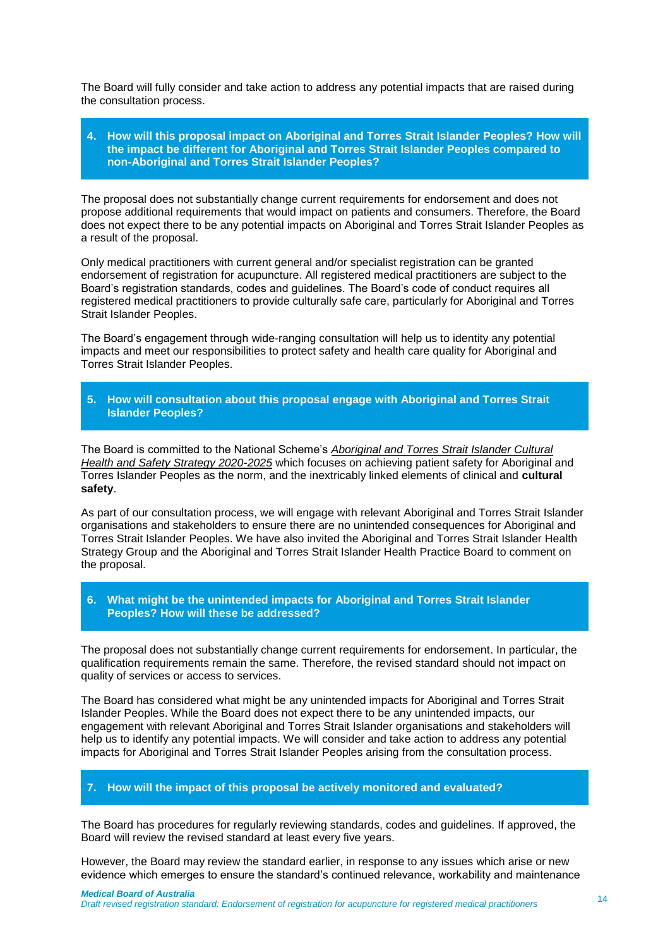The Board will fully consider and take action to address any potential impacts that are raised during the consultation process.

### **4. How will this proposal impact on Aboriginal and Torres Strait Islander Peoples? How will the impact be different for Aboriginal and Torres Strait Islander Peoples compared to non-Aboriginal and Torres Strait Islander Peoples?**

The proposal does not substantially change current requirements for endorsement and does not propose additional requirements that would impact on patients and consumers. Therefore, the Board does not expect there to be any potential impacts on Aboriginal and Torres Strait Islander Peoples as a result of the proposal.

Only medical practitioners with current general and/or specialist registration can be granted endorsement of registration for acupuncture. All registered medical practitioners are subject to the Board's registration standards, codes and guidelines. The Board's code of conduct requires all registered medical practitioners to provide culturally safe care, particularly for Aboriginal and Torres Strait Islander Peoples.

The Board's engagement through wide-ranging consultation will help us to identity any potential impacts and meet our responsibilities to protect safety and health care quality for Aboriginal and Torres Strait Islander Peoples.

### **5. How will consultation about this proposal engage with Aboriginal and Torres Strait Islander Peoples?**

The Board is committed to the National Scheme's *[Aboriginal and Torres Strait Islander Cultural](https://www.ahpra.gov.au/About-AHPRA/Aboriginal-and-Torres-Strait-Islander-Health-Strategy.aspx)  [Health and Safety Strategy 2020-2025](https://www.ahpra.gov.au/About-AHPRA/Aboriginal-and-Torres-Strait-Islander-Health-Strategy.aspx)* which focuses on achieving patient safety for Aboriginal and Torres Islander Peoples as the norm, and the inextricably linked elements of clinical and **cultural safety**.

As part of our consultation process, we will engage with relevant Aboriginal and Torres Strait Islander organisations and stakeholders to ensure there are no unintended consequences for Aboriginal and Torres Strait Islander Peoples. We have also invited the Aboriginal and Torres Strait Islander Health Strategy Group and the Aboriginal and Torres Strait Islander Health Practice Board to comment on the proposal.

### **6. What might be the unintended impacts for Aboriginal and Torres Strait Islander Peoples? How will these be addressed?**

The proposal does not substantially change current requirements for endorsement. In particular, the qualification requirements remain the same. Therefore, the revised standard should not impact on quality of services or access to services.

The Board has considered what might be any unintended impacts for Aboriginal and Torres Strait Islander Peoples. While the Board does not expect there to be any unintended impacts, our engagement with relevant Aboriginal and Torres Strait Islander organisations and stakeholders will help us to identify any potential impacts. We will consider and take action to address any potential impacts for Aboriginal and Torres Strait Islander Peoples arising from the consultation process.

### **7. How will the impact of this proposal be actively monitored and evaluated?**

The Board has procedures for regularly reviewing standards, codes and guidelines. If approved, the Board will review the revised standard at least every five years.

However, the Board may review the standard earlier, in response to any issues which arise or new evidence which emerges to ensure the standard's continued relevance, workability and maintenance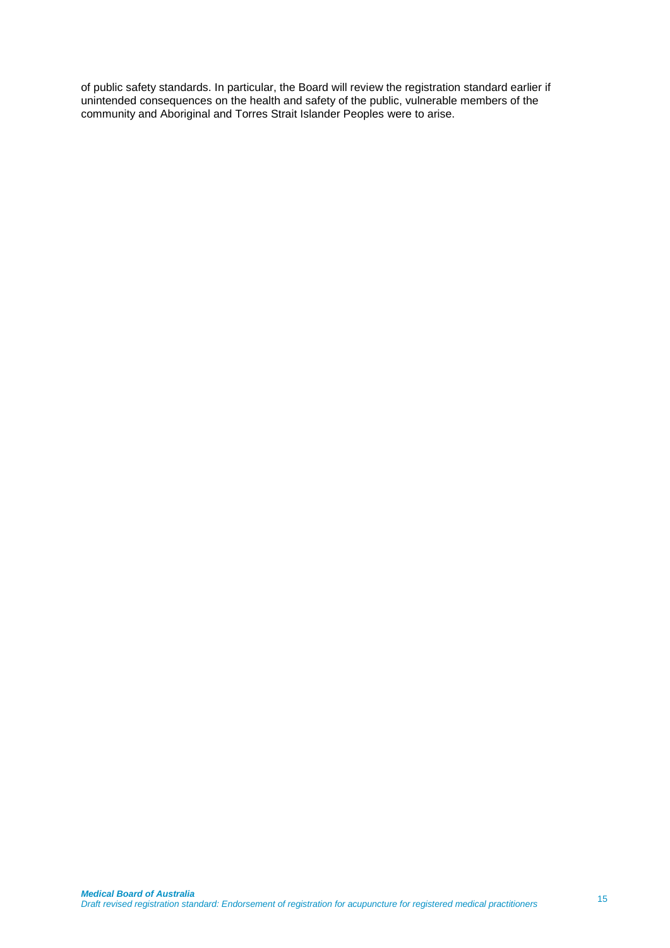of public safety standards. In particular, the Board will review the registration standard earlier if unintended consequences on the health and safety of the public, vulnerable members of the community and Aboriginal and Torres Strait Islander Peoples were to arise.